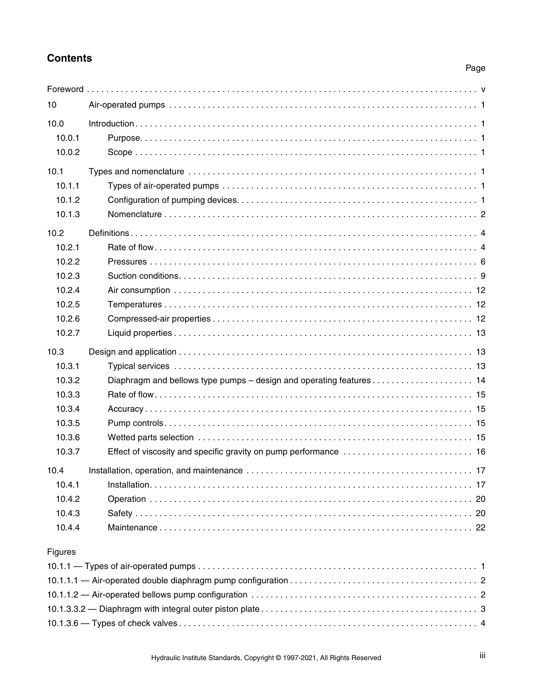## **Contents**

## Page

| 10      |  |
|---------|--|
| 10.0    |  |
| 10.0.1  |  |
| 10.0.2  |  |
| 10.1    |  |
| 10.1.1  |  |
| 10.1.2  |  |
| 10.1.3  |  |
| 10.2    |  |
| 10.2.1  |  |
| 10.2.2  |  |
| 10.2.3  |  |
| 10.2.4  |  |
| 10.2.5  |  |
| 10.2.6  |  |
| 10.2.7  |  |
|         |  |
| 10.3    |  |
| 10.3.1  |  |
| 10.3.2  |  |
| 10.3.3  |  |
| 10.3.4  |  |
| 10.3.5  |  |
| 10.3.6  |  |
| 10.3.7  |  |
| 10.4    |  |
| 10.4.1  |  |
| 10.4.2  |  |
| 10.4.3  |  |
| 10.4.4  |  |
| Figures |  |
|         |  |
|         |  |

[10.1.3.3.2 — Diaphragm with integral outer piston plate . . . . . . . . . . . . . . . . . . . . . . . . . . . . . . . . . . . . . . . . . . . . . 3](#page--1-30) [10.1.3.6 — Types of check valves . . . . . . . . . . . . . . . . . . . . . . . . . . . . . . . . . . . . . . . . . . . . . . . . . . . . . . . . . . . . . . 4](#page--1-31)